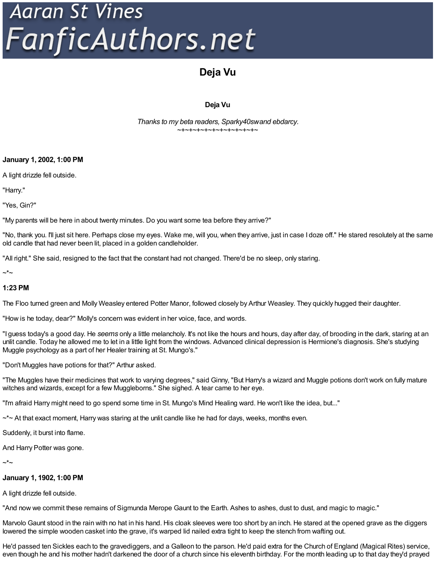# Aaran St Vines<br>FanficAuthors.net

# **Deja Vu**

# **Deja Vu**

*Thanks to my beta readers, Sparky40swand ebdarcy.* ~+~+~+~+~+~+~+~+~+~+~

**January 1, 2002, 1:00 PM**

A light drizzle fell outside.

"Harry."

"Yes, Gin?"

"My parents will be here in about twenty minutes. Do you want some tea before they arrive?"

"No, thank you. I'll just sit here. Perhaps close my eyes. Wake me, will you, when they arrive, just in case I doze off." He stared resolutely at the same old candle that had never been lit, placed in a golden candleholder.

"All right." She said, resigned to the fact that the constant had not changed. There'd be no sleep, only staring.

 $\mathord{\sim}^{\star}$ ~

## **1:23 PM**

The Floo turned green and Molly Weasley entered Potter Manor, followed closely by Arthur Weasley. They quickly hugged their daughter.

"How is he today, dear?" Molly's concern was evident in her voice, face, and words.

"I guess today's a good day. He *seems* only a little melancholy. It's not like the hours and hours, day after day, of brooding in the dark, staring at an unlit candle. Today he allowed me to let in a little light from the windows. Advanced clinical depression is Hermione's diagnosis. She's studying Muggle psychology as a part of her Healer training at St. Mungo's."

"Don't Muggles have potions for that?" Arthur asked.

"The Muggles have their medicines that work to varying degrees," said Ginny, "But Harry's a wizard and Muggle potions don't work on fully mature witches and wizards, except for a few Muggleborns." She sighed. A tear came to her eye.

"I'm afraid Harry might need to go spend some time in St. Mungo's Mind Healing ward. He won't like the idea, but..."

 $\sim$ \*~ At that exact moment, Harry was staring at the unlit candle like he had for days, weeks, months even.

Suddenly, it burst into flame.

And Harry Potter was gone.

 $\mathord{\sim}^{\star}$ ~

### **January 1, 1902, 1:00 PM**

A light drizzle fell outside.

"And now we commit these remains of Sigmunda Merope Gaunt to the Earth. Ashes to ashes, dust to dust, and magic to magic."

Marvolo Gaunt stood in the rain with no hat in his hand. His cloak sleeves were too short by an inch. He stared at the opened grave as the diggers lowered the simple wooden casket into the grave, it's warped lid nailed extra tight to keep the stench from wafting out.

He'd passed ten Sickles each to the gravediggers, and a Galleon to the parson. He'd paid extra for the Church of England (Magical Rites) service, even though he and his mother hadn't darkened the door of a church since his eleventh birthday. For the month leading up to that day they'd prayed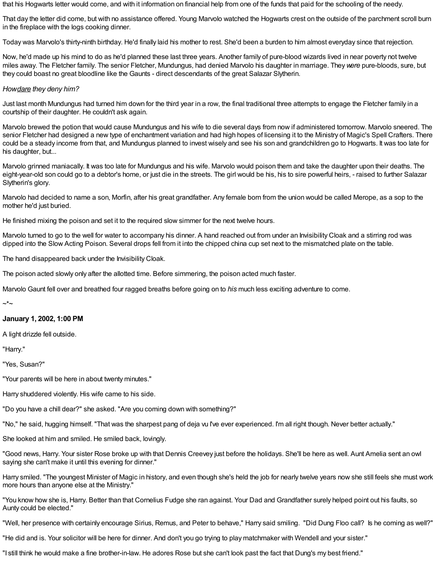that his Hogwarts letter would come, and with it information on financial help from one of the funds that paid for the schooling of the needy.

That day the letter did come, but with no assistance offered. Young Marvolo watched the Hogwarts crest on the outside of the parchment scroll burn in the fireplace with the logs cooking dinner.

Today was Marvolo's thirty-ninth birthday. He'd finally laid his mother to rest. She'd been a burden to him almost everyday since that rejection.

Now, he'd made up his mind to do as he'd planned these last three years. Another family of pure-blood wizards lived in near poverty not twelve miles away. The Fletcher family. The senior Fletcher, Mundungus, had denied Marvolo his daughter in marriage. They*were* pure-bloods, sure, but they could boast no great bloodline like the Gaunts - direct descendants of the great Salazar Slytherin.

#### *Howdare they deny him?*

Just last month Mundungus had turned him down for the third year in a row, the final traditional three attempts to engage the Fletcher family in a courtship of their daughter. He couldn't ask again.

Marvolo brewed the potion that would cause Mundungus and his wife to die several days from now if administered tomorrow. Marvolo sneered. The senior Fletcher had designed a new type of enchantment variation and had high hopes of licensing it to the Ministry of Magic's Spell Crafters. There could be a steady income from that, and Mundungus planned to invest wisely and see his son and grandchildren go to Hogwarts. It was too late for his daughter, but...

Marvolo grinned maniacally. It was too late for Mundungus and his wife. Marvolo would poison them and take the daughter upon their deaths. The eight-year-old son could go to a debtor's home, or just die in the streets. The girl would be his, his to sire powerful heirs, - raised to further Salazar Slytherin's glory.

Marvolo had decided to name a son, Morfin, after his great grandfather. Any female born from the union would be called Merope, as a sop to the mother he'd just buried.

He finished mixing the poison and set it to the required slow simmer for the next twelve hours.

Marvolo turned to go to the well for water to accompany his dinner. A hand reached out from under an Invisibility Cloak and a stirring rod was dipped into the Slow Acting Poison. Several drops fell from it into the chipped china cup set next to the mismatched plate on the table.

The hand disappeared back under the Invisibility Cloak.

The poison acted slowly only after the allotted time. Before simmering, the poison acted much faster.

Marvolo Gaunt fell over and breathed four ragged breaths before going on to *his* much less exciting adventure to come.

~\*~

### **January 1, 2002, 1:00 PM**

A light drizzle fell outside.

"Harry."

"Yes, Susan?"

"Your parents will be here in about twenty minutes."

Harry shuddered violently. His wife came to his side.

"Do you have a chill dear?" she asked. "Are you coming down with something?"

"No," he said, hugging himself. "That was the sharpest pang of deja vu I've ever experienced. I'm all right though. Never better actually."

She looked at him and smiled. He smiled back, lovingly.

"Good news, Harry. Your sister Rose broke up with that Dennis Creevey just before the holidays. She'll be here as well. Aunt Amelia sent an owl saying she can't make it until this evening for dinner."

Harry smiled. "The youngest Minister of Magic in history, and even though she's held the job for nearly twelve years now she still feels she must work more hours than anyone else at the Ministry."

"You know how she is, Harry. Better than that Cornelius Fudge she ran against. Your Dad and Grandfather surely helped point out his faults, so Aunty could be elected."

"Well, her presence with certainly encourage Sirius, Remus, and Peter to behave," Harry said smiling. "Did Dung Floo call? Is he coming as well?"

"He did and is. Your solicitor will be here for dinner. And don't you go trying to play matchmaker with Wendell and your sister."

"I still think he would make a fine brother-in-law. He adores Rose but she can't look past the fact that Dung's my best friend."